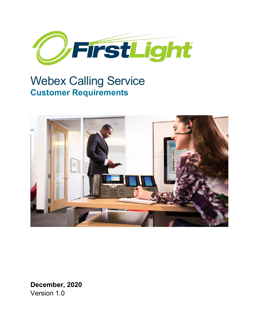

# Webex Calling Service **Customer Requirements**



**December, 2020** Version 1.0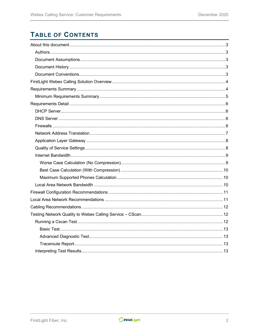# **TABLE OF CONTENTS**

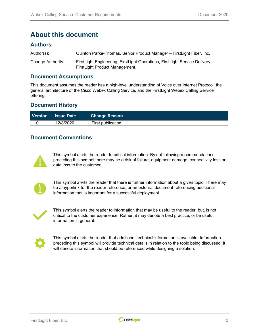# <span id="page-2-0"></span>**About this document**

### <span id="page-2-1"></span>**Authors**

| Author(s):        | Quinton Parke-Thomas, Senior Product Manager – FirstLight Fiber, Inc.                                         |
|-------------------|---------------------------------------------------------------------------------------------------------------|
| Change Authority: | FirstLight Engineering, FirstLight Operations, FirstLight Service Delivery,<br>FirstLight Product Management. |

### <span id="page-2-2"></span>**Document Assumptions**

This document assumes the reader has a high-level understanding of Voice over Internet Protocol, the general architecture of the Cisco Webex Calling Service, and the FirstLight Webex Calling Service offering.

### <span id="page-2-3"></span>**Document History**

| <b>Version</b> | <b>Same Date</b> | <b>Change Reason</b> |  |
|----------------|------------------|----------------------|--|
|                | 12/8/2020        | First publication    |  |

### <span id="page-2-4"></span>**Document Conventions**



This symbol alerts the reader to critical information. By not following recommendations preceding this symbol there may be a risk of failure, equipment damage, connectivity loss or, data loss to the customer.



This symbol alerts the reader that there is further information about a given topic. There may be a hyperlink for the reader reference, or an external document referencing additional information that is important for a successful deployment.



This symbol alerts the reader to information that may be useful to the reader, but, is not critical to the customer experience. Rather, it may denote a best practice, or be useful information in general.



This symbol alerts the reader that additional technical information is available. Information preceding this symbol will provide technical details in relation to the topic being discussed. It will denote information that should be referenced while designing a solution.

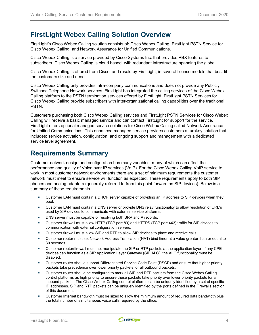# <span id="page-3-0"></span>**FirstLight Webex Calling Solution Overview**

FirstLight's Cisco Webex Calling solution consists of: Cisco Webex Calling, FirstLight PSTN Service for Cisco Webex Calling, and Network Assurance for Unified Communications.

Cisco Webex Calling is a service provided by Cisco Systems Inc. that provides PBX features to subscribers. Cisco Webex Calling is cloud based, with redundant infrastructure spanning the globe.

Cisco Webex Calling is offered from Cisco, and resold by FirstLight, in several license models that best fit the customers size and need.

Cisco Webex Calling only provides intra-company communications and does not provide any Publicly Switched Telephone Network services. FirstLight has integrated the calling services of the Cisco Webex Calling platform to the PSTN termination services offered by FirstLight. FirstLight PSTN Services for Cisco Webex Calling provide subscribers with inter-organizational calling capabilities over the traditional PSTN.

Customers purchasing both Cisco Webex Calling services and FirstLight PSTN Services for Cisco Webex Calling will receive a basic managed service and can contact FirstLight for support for the service. FirstLight offers optional managed service solutions for Cisco Webex Calling called Network Assurance for Unified Communications. This enhanced managed service provides customers a turnkey solution that includes: service activation, configuration, and ongoing support and management with a dedicated service level agreement.

# <span id="page-3-1"></span>**Requirements Summary**

Customer network design and configuration has many variables, many of which can affect the performance and quality of Voice over IP services (VoIP). For the Cisco Webex Calling VoIP service to work in most customer network environments there are a set of minimum requirements the customer network must meet to ensure service will function as expected. These requirements apply to both SIP phones and analog adapters (generally referred to from this point forward as SIP devices). Below is a summary of these requirements.

- Customer LAN must contain a DHCP server capable of providing an IP address to SIP devices when they boot.
- Customer LAN must contain a DNS server or provide DNS relay functionality to allow resolution of URL's used by SIP devices to communicate with external service platforms.
- **DNS** server must be capable of resolving both SRV and A records.
- Customer firewall must allow HTTP (TCP port 80) and HTTPS (TCP port 443) traffic for SIP devices to communication with external configuration servers.
- Customer firewall must allow SIP and RTP to allow SIP devices to place and receive calls.
- Customer router must set Network Address Translation (NAT) bind timer at a value greater than or equal to 30 seconds.
- Customer router/firewall must not manipulate the SIP or RTP packets at the application layer. If any CPE devices can function as a SIP Application Layer Gateway (SIP ALG), the ALG functionality must be disabled.
- Customer router should support Differentiated Service Code Point (DSCP) and ensure that higher priority packets take precedence over lower priority packets for all outbound packets.
- Customer router should be configured to mark all SIP and RTP packets from the Cisco Webex Calling control platforms as high priority to ensure these packets take priority over lower priority packets for all inbound packets. The Cisco Webex Calling control platforms can be uniquely identified by a set of specific IP addresses. SIP and RTP packets can be uniquely identified by the ports defined in the Firewalls section of this document.
- Customer Internet bandwidth must be sized to allow the minimum amount of required data bandwidth plus the total number of simultaneous voice calls required by the office.

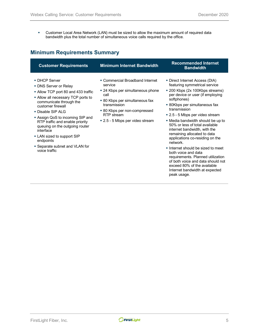Customer Local Area Network (LAN) must be sized to allow the maximum amount of required data bandwidth plus the total number of simultaneous voice calls required by the office.

# <span id="page-4-0"></span>**Minimum Requirements Summary**

| <b>Customer Requirements</b>                                                                                                                                                                                                                                                                                                                                                                                 | <b>Minimum Internet Bandwidth</b>                                                                                                                                                                                         | <b>Recommended Internet</b><br><b>Bandwidth</b>                                                                                                                                                                                                                                                                                                                                                                                                                                                                                |
|--------------------------------------------------------------------------------------------------------------------------------------------------------------------------------------------------------------------------------------------------------------------------------------------------------------------------------------------------------------------------------------------------------------|---------------------------------------------------------------------------------------------------------------------------------------------------------------------------------------------------------------------------|--------------------------------------------------------------------------------------------------------------------------------------------------------------------------------------------------------------------------------------------------------------------------------------------------------------------------------------------------------------------------------------------------------------------------------------------------------------------------------------------------------------------------------|
| • DHCP Server<br>• DNS Server or Relay<br>• Allow TCP port 80 and 433 traffic<br>• Allow all necessary TCP ports to<br>communicate through the<br>customer firewall<br>• Disable SIP ALG<br>■ Assign QoS to incoming SIP and<br>RTP traffic and enable priority<br>queuing on the outgoing router<br>interface<br>• LAN sized to support SIP<br>endpoints<br>• Separate subnet and VLAN for<br>voice traffic | • Commercial Broadband Internet<br>service<br>■ 24 Kbps per simultaneous phone<br>call<br>• 80 Kbps per simultaneous fax<br>transmission<br>• 80 Kbps per non-compressed<br>RTP stream<br>■ 2.5 - 5 Mbps per video stream | ■ Direct Internet Access (DIA)<br>featuring symmetrical service<br>■ 200 Kbps (2x 100Kbps streams)<br>per device or user (if employing<br>softphones)<br>■ 80Kbps per simultaneous fax<br>transmission<br>■ 2.5 - 5 Mbps per video stream<br>• Media bandwidth should be up to<br>50% or less of total available<br>internet bandwidth, with the<br>remaining allocated to data<br>applications co-residing on the<br>network.<br>Internet should be sized to meet<br>both voice and data<br>requirements. Planned utilization |

requirements. Planned utilization of both voice and data should not exceed 80% of the available Internet bandwidth at expected peak usage.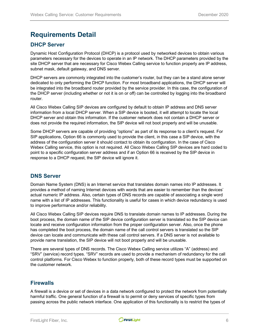# <span id="page-5-0"></span>**Requirements Detail**

### <span id="page-5-1"></span>**DHCP Server**

Dynamic Host Configuration Protocol (DHCP) is a protocol used by networked devices to obtain various parameters necessary for the devices to operate in an IP network. The DHCP parameters provided by the site DHCP server that are necessary for Cisco Webex Calling service to function properly are IP address, subnet mask, default gateway, and DNS server.

DHCP servers are commonly integrated into the customer's router, but they can be a stand alone server dedicated to only performing the DHCP function. For most broadband applications, the DHCP server will be integrated into the broadband router provided by the service provider. In this case, the configuration of the DHCP server (including whether or not it is on or off) can be controlled by logging into the broadband router.

All Cisco Webex Calling SIP devices are configured by default to obtain IP address and DNS server information from a local DHCP server. When a SIP device is booted, it will attempt to locate the local DHCP server and obtain this information. If the customer network does not contain a DHCP server or does not provide the required information, the SIP device will not boot properly and will be unusable.

Some DHCP servers are capable of providing "options" as part of its response to a client's request. For SIP applications, Option 66 is commonly used to provide the client, in this case a SIP device, with the address of the configuration server it should contact to obtain its configuration. In the case of Cisco Webex Calling service, this option is not required. All Cisco Webex Calling SIP devices are hard coded to point to a specific configuration server address and if an Option 66 is received by the SIP device in response to a DHCP request, the SIP device will ignore it.

### <span id="page-5-2"></span>**DNS Server**

Domain Name System (DNS) is an Internet service that translates domain names into IP addresses. It provides a method of naming Internet devices with words that are easier to remember than the devices' actual numeric IP address. Also, certain types of DNS records are capable of associating a single word name with a list of IP addresses. This functionality is useful for cases in which device redundancy is used to improve performance and/or reliability.

All Cisco Webex Calling SIP devices require DNS to translate domain names to IP addresses. During the boot process, the domain name of the SIP device configuration server is translated so the SIP device can locate and receive configuration information from the proper configuration server. Also, once the phone has completed the boot process, the domain name of the call control servers is translated so the SIP device can locate and communicate with these call control servers. If a DNS server is not available to provide name translation, the SIP device will not boot properly and will be unusable.

There are several types of DNS records. The Cisco Webex Calling service utilizes "A" (address) and "SRV" (service) record types. "SRV" records are used to provide a mechanism of redundancy for the call control platforms. For Cisco Webex to function properly, both of these record types must be supported on the customer network.

#### <span id="page-5-3"></span>**Firewalls**

A firewall is a device or set of devices in a data network configured to protect the network from potentially harmful traffic. One general function of a firewall is to permit or deny services of specific types from passing across the public network interface. One application of this functionality is to restrict the types of

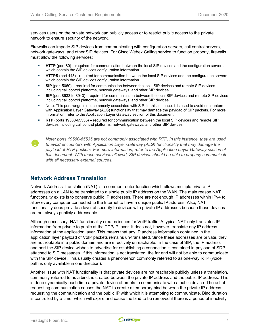services users on the private network can publicly access or to restrict public access to the private network to ensure security of the network.

Firewalls can impede SIP devices from communicating with configuration servers, call control servers, network gateways, and other SIP devices. For Cisco Webex Calling service to function properly, firewalls must allow the following services:

- **HTTP** (port 80) required for communication between the local SIP devices and the configuration servers which contain the SIP devices configuration information
- **HTTPS** (port 443) required for communication between the local SIP devices and the configuration servers which contain the SIP devices configuration information
- **SIP** (port 5060) required for communication between the local SIP devices and remote SIP devices including call control platforms, network gateways, and other SIP devices
- **SIP** (port 8933 to 8943) required for communication between the local SIP devices and remote SIP devices including call control platforms, network gateways, and other SIP devices.
- Note: This port range is not commonly associated with SIP. In this instance, it is used to avoid encounters with Application Layer Gateway (ALG) functionality that may damage the payload of SIP packets. For more information, refer to the Application Layer Gateway section of this document
- **RTP** (ports 19560-65535) required for communication between the local SIP devices and remote SIP devices including call control platforms, network gateways, and other SIP devices.



*Note: ports 19560-65535 are not commonly associated with RTP. In this instance, they are used to avoid encounters with Application Layer Gateway (ALG) functionality that may damage the payload of RTP packets. For more information, refer to the Application Layer Gateway section of this document. With these services allowed, SIP devices should be able to properly communicate with all necessary external sources.*

### <span id="page-6-0"></span>**Network Address Translation**

Network Address Translation (NAT) is a common router function which allows multiple private IP addresses on a LAN to be translated to a single public IP address on the WAN. The main reason NAT functionality exists is to conserve public IP addresses. There are not enough IP addresses within IPv4 to allow every computer connected to the Internet to have a unique public IP address. Also, NAT functionality does provide a level of security to devices with private IP addresses because those devices are not always publicly addressable.

Although necessary, NAT functionality creates issues for VoIP traffic. A typical NAT only translates IP information from private to public at the TCP/IP layer. It does not, however, translate any IP address information at the application layer. This means that any IP address information contained in the application layer payload of VoIP packets remains un-translated. Since these addresses are private, they are not routable in a public domain and are effectively unreachable. In the case of SIP, the IP address and port the SIP device wishes to advertise for establishing a connection is contained in payload of SDP attached to SIP messages. If this information is not translated, the far end will not be able to communicate with the SIP device. This usually creates a phenomenon commonly referred to as one-way RTP (voice path is only available in one direction).

Another issue with NAT functionality is that private devices are not reachable publicly unless a translation, commonly referred to as a bind, is created between the private IP address and the public IP address. This is done dynamically each time a private device attempts to communicate with a public device. The act of requesting communication causes the NAT to create a temporary bind between the private IP address requesting the communication and the public IP with which it is attempting to communicate. Bind duration is controlled by a timer which will expire and cause the bind to be removed if there is a period of inactivity

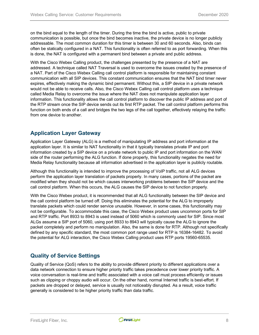on the bind equal to the length of the timer. During the time the bind is active, public to private communication is possible, but once the bind becomes inactive, the private device is no longer publicly addressable. The most common duration for this timer is between 30 and 60 seconds. Also, binds can often be statically configured in a NAT. This functionality is often referred to as port forwarding. When this is done, the NAT is configured with a permanent bind between a private and public address.

With the Cisco Webex Calling product, the challenges presented by the presence of a NAT are addressed. A technique called NAT Traversal is used to overcome the issues created by the presence of a NAT. Part of the Cisco Webex Calling call control platform is responsible for maintaining constant communication with all SIP devices. This constant communication ensures that the NAT bind timer never expires, effectively making the dynamic bind permanent. Without this, a SIP device in a private network would not be able to receive calls. Also, the Cisco Webex Calling call control platform uses a technique called Media Relay to overcome the issue where the NAT does not manipulate application layer information. This functionality allows the call control platform to discover the public IP address and port of the RTP stream once the SIP device sends out its first RTP packet. The call control platform performs this function on both ends of a call and bridges the two legs of the call together, effectively relaying the traffic from one device to another.

# <span id="page-7-0"></span>**Application Layer Gateway**

Application Layer Gateway (ALG) is a method of manipulating IP address and port information at the application layer. It is similar to NAT functionality in that it typically translates private IP and port information created by a SIP device on a private network to public IP and port information on the WAN side of the router performing the ALG function. If done properly, this functionality negates the need for Media Relay functionality because all information advertised in the application layer is publicly routable.

Although this functionality is intended to improve the processing of VoIP traffic, not all ALG devices perform the application layer translation of packets properly. In many cases, portions of the packet are modified when they should not be which causes interworking problems between the SIP device and the call control platform. When this occurs, the ALG causes the SIP device to not function properly.

With the Cisco Webex product, it is recommended that all ALG functionality between the SIP device and the call control platform be turned off. Doing this eliminates the potential for the ALG to improperly translate packets which could render service unusable. However, in some cases, this functionality may not be configurable. To accommodate this case, the Cisco Webex product uses uncommon ports for SIP and RTP traffic. Port 8933 to 8943 is used instead of 5060 which is commonly used for SIP. Since most ALGs assume a SIP port of 5060, using port 8933 to 8943 will typically cause the ALG to ignore the packet completely and perform no manipulation. Also, the same is done for RTP. Although not specifically defined by any specific standard, the most common port range used for RTP is 16384-16482. To avoid the potential for ALG interaction, the Cisco Webex Calling product uses RTP ports 19560-65535.

# <span id="page-7-1"></span>**Quality of Service Settings**

Quality of Service (QoS) refers to the ability to provide different priority to different applications over a data network connection to ensure higher priority traffic takes precedence over lower priority traffic. A voice conversation is real-time and traffic associated with a voice call must process efficiently or issues such as clipping or choppy audio will occur. On the other hand, normal Internet traffic is best-effort. If packets are dropped or delayed, service is usually not noticeably disrupted. As a result, voice traffic generally is considered to be higher priority traffic than data traffic.

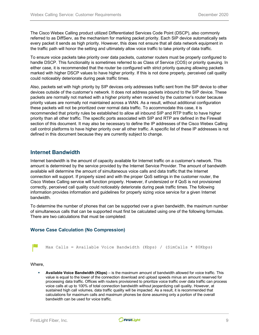The Cisco Webex Calling product utilized Differentiated Services Code Point (DSCP), also commonly referred to as DiffServ, as the mechanism for marking packet priority. Each SIP device automatically sets every packet it sends as high priority. However, this does not ensure that all data network equipment in the traffic path will honor the setting and ultimately allow voice traffic to take priority of data traffic.

To ensure voice packets take priority over data packets, customer routers must be properly configured to handle DSCP. This functionality is sometimes referred to as Class of Service (COS) or priority queuing. In either case, it is recommended that the router be configured with strict priority queuing allowing packets marked with higher DSCP values to have higher priority. If this is not done properly, perceived call quality could noticeably deteriorate during peak traffic times.

Also, packets set with high priority by SIP devices only addresses traffic sent from the SIP device to other devices outside of the customer's network. It does not address packets inbound to the SIP device. These packets are normally not marked with a higher priority when received by the customer's router because priority values are normally not maintained across a WAN. As a result, without additional configuration these packets will not be prioritized over normal data traffic. To accommodate this case, it is recommended that priority rules be established to allow all inbound SIP and RTP traffic to have higher priority than all other traffic. The specific ports associated with SIP and RTP are defined in the Firewall section of this document. It may also be necessary to define the IP addresses of the Cisco Webex Calling call control platforms to have higher priority over all other traffic. A specific list of these IP addresses is not defined in this document because they are currently subject to change.

#### <span id="page-8-0"></span>**Internet Bandwidth**

Internet bandwidth is the amount of capacity available for Internet traffic on a customer's network. This amount is determined by the service provided by the Internet Service Provider. The amount of bandwidth available will determine the amount of simultaneous voice calls and data traffic that the Internet connection will support. If properly sized and with the proper QoS settings in the customer router, the Cisco Webex Calling service will function properly. However, if undersized or if QoS is not provisioned correctly, perceived call quality could noticeably deteriorate during peak traffic times. The following information provides information and guidelines for properly sizing voice service for a given Internet bandwidth.

To determine the number of phones that can be supported over a given bandwidth, the maximum number of simultaneous calls that can be supported must first be calculated using one of the following formulas. There are two calculations that must be completed:

#### <span id="page-8-1"></span>**Worse Case Calculation (No Compression)**

Max Calls = Available Voice Bandwidth (Kbps) / (SimCalls  $*$  80Kbps)

Where,

 **Available Voice Bandwidth (Kbps)** – is the maximum amount of bandwidth allowed for voice traffic. This value is equal to the lower of the connection download and upload speeds minus an amount reserved for processing data traffic. Offices with routers provisioned to prioritize voice traffic over data traffic can process voice calls at up to 100% of total connection bandwidth without jeopardizing call quality. However, at sustained high call volumes, data traffic quality will be impacted. As a result, it is recommended that calculations for maximum calls and maximum phones be done assuming only a portion of the overall bandwidth can be used for voice traffic.

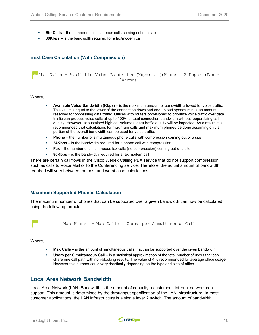- **SimCalls**  the number of simultaneous calls coming out of a site
- **80Kbps** is the bandwidth required for a fax/modem call

#### <span id="page-9-0"></span>**Best Case Calculation (With Compression)**

Max Calls = Available Voice Bandwidth (Kbps) / ((Phone \* 24Kbps) + (Fax \* 80Kbps))

Where,

- **Available Voice Bandwidth (Kbps)** is the maximum amount of bandwidth allowed for voice traffic. This value is equal to the lower of the connection download and upload speeds minus an amount reserved for processing data traffic. Offices with routers provisioned to prioritize voice traffic over data traffic can process voice calls at up to 100% of total connection bandwidth without jeopardizing call quality. However, at sustained high call volumes, data traffic quality will be impacted. As a result, it is recommended that calculations for maximum calls and maximum phones be done assuming only a portion of the overall bandwidth can be used for voice traffic.
- **Phone** the number of simultaneous phone calls with compression coming out of a site
- **24Kbps** is the bandwidth required for a phone call with compression
- **Fax** the number of simultaneous fax calls (no compression) coming out of a site
- **80Kbps** is the bandwidth required for a fax/modem call

There are certain call flows in the Cisco Webex Calling PBX service that do not support compression, such as calls to Voice Mail or to the Conferencing service. Therefore, the actual amount of bandwidth required will vary between the best and worst case calculations.

#### <span id="page-9-1"></span>**Maximum Supported Phones Calculation**

The maximum number of phones that can be supported over a given bandwidth can now be calculated using the following formula:

Max Phones = Max Calls \* Users per Simultaneous Call

Where,

- **Max Calls** is the amount of simultaneous calls that can be supported over the given bandwidth
- **Users per Simultaneous Call** is a statistical approximation of the total number of users that can share one call path with non-blocking results. The value of 4 is recommended for average office usage. However this number could vary drastically depending on the type and size of office.

### <span id="page-9-2"></span>**Local Area Network Bandwidth**

Local Area Network (LAN) Bandwidth is the amount of capacity a customer's internal network can support. This amount is determined by the throughput specification of the LAN infrastructure. In most customer applications, the LAN infrastructure is a single layer 2 switch. The amount of bandwidth

FirstLight Fiber, Inc. 2010 10

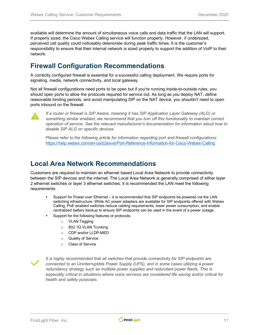available will determine the amount of simultaneous voice calls and data traffic that the LAN will support. If properly sized, the Cisco Webex Calling service will function properly. However, if undersized, perceived call quality could noticeably deteriorate during peak traffic times. It is the customer's responsibility to ensure that their internal network is sized properly to support the addition of VoIP to their network.

# <span id="page-10-0"></span>**Firewall Configuration Recommendations**

A correctly configured firewall is essential for a successful calling deployment. We require ports for signaling, media, network connectivity, and local gateway.

Not all firewall configurations need ports to be open but if you're running inside-to-outside rules, you should open ports to allow the protocols required for service out. As long as you deploy NAT, define reasonable binding periods, and avoid manipulating SIP on the NAT device, you shouldn't need to open ports inbound on the firewall.



*If a router or firewall is SIP Aware, meaning it has SIP Application Layer Gateway (ALG) or something similar enabled, we recommend that you turn off this functionality to maintain correct operation of service. See the relevant manufacturer's documentation for information about how to disable SIP ALG on specific devices.*

*Please refer to the following article for information regarding port and firewall configurations:* <https://help.webex.com/en-us/b2exve/Port-Reference-Information-for-Cisco-Webex-Calling>

# <span id="page-10-1"></span>**Local Area Network Recommendations**

Customers are required to maintain an ethernet based Local Area Network to provide connectivity between the SIP devices and the internet. The Local Area Network is generally comprised of either layer 2 ethernet switches or layer 3 ethernet switches. It is recommended the LAN meet the following requirements:

- Support for Power over Ethernet it is recommended that SIP endpoints be powered via the LAN switching infrastructure. While AC power adapters are available for SIP endpoints offered with Webex Calling, PoE enabled switches reduce cabling requirements, lower power consumption, and enable centralized battery backup to ensure SIP endpoints can be used in the event of a power outage.
- Support for the following features or protocols:
	- o VLAN Tagging
	- o 802.1Q VLAN Trunking
	- o CDP and/or LLDP-MED
	- o Quality of Service
	- o Class of Service



*It is highly recommended that all switches that provide connectivity for SIP endpoints are connected to an Uninterruptible Power Supply (UPS), and in some cases utilizing a power redundancy strategy such as multiple power supplies and redundant power feeds. This is especially critical in situations where voice services are considered life saving and/or critical for health and safety purposes.*

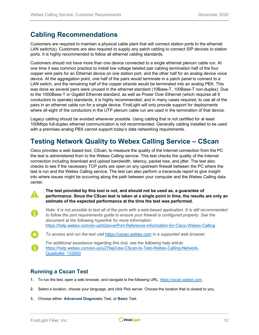# <span id="page-11-0"></span>**Cabling Recommendations**

Customers are required to maintain a physical cable plant that will connect station ports to the ethernet LAN switch(s). Customers are also required to supply any patch cabling to connect SIP devices to station ports. It is highly recommended to follow all ethernet cabling standards.

Customers should not have more than one device connected to a single ethernet plenum cable run. At one time it was common practice to install low voltage twisted pair cabling termination half of the four copper wire pairs for an Ethernet device on one station port, and the other half for an analog device voice device. At the aggregation point, one half of the pairs would terminate in a patch panel to connect to a LAN switch, and the remaining half of the copper strands would be terminated into an analog PBX. This was done as several pairs were unused in the ethernet standard (10Base-T, 100Base-T non-duplex). Due to the 1000Base-T or Gigabit Ethernet standard, as well as Power Over Ethernet (which requires all 8 conductors to operate) standards, it is highly recommended, and in many cases required, to use all of the pairs in an ethernet cable run for a single device. FirstLight will only provide support for deployments where all eight of the conductors in the UTP plenum cable run are used in the termination of that device.

Legacy cabling should be avoided whenever possible. Using cabling that is not certified for at least 100Mbps full-duplex ethernet communication is not recommended. Generally cabling installed to be used with a premises analog PBX cannot support today's data networking requirements.

# <span id="page-11-1"></span>**Testing Network Quality to Webex Calling Service – CScan**

Cisco provides a web based tool, CScan, to measure the quality of the Internet connection from the PC the test is administered from to the Webex Calling service. This test checks the quality of the Internet connection including download and upload bandwidth, latency, packet loss, and jitter. The test also checks to see if the necessary TCP ports are open on any upstream firewall between the PC where the test is run and the Webex Calling service. The test can also perform a traceroute report to give insight into where issues might be occurring along the path between your computer and the Webex Calling data center.

**The test provided by this tool is not, and should not be used as, a guarantee of performance. Since the CScan test is taken at a single point in time, the results are only an estimate of the expected performance at the time the test was performed.**

*Note: it is not possible to test all of the ports with a web-based application. It is still recommended to follow the port requirements guide to ensure your firewall is configured properly. See the document at the following hyperlink for more information:* <https://help.webex.com/en-us/b2exve/Port-Reference-Information-for-Cisco-Webex-Calling>

*To access and run the test visit* [https://cscan.webex.com](https://cscan.webex.com/) *in a supported web browser.*

*For additional assistance regarding this tool, see the following help article:* [https://help.webex.com/en-us/y27bej/Use-CScan-to-Test-Webex-Calling-Network-](https://help.webex.com/en-us/y27bej/Use-CScan-to-Test-Webex-Calling-Network-Quality#id_133930)[Quality#id\\_133930](https://help.webex.com/en-us/y27bej/Use-CScan-to-Test-Webex-Calling-Network-Quality#id_133930)

# <span id="page-11-2"></span>**Running a Cscan Test**

- **1.** To run the test, open a web browser, and navigate to the following URL[: https://cscan.webex.com.](https://cscan.webex.com/)
- **2.** Select a location, choose your language, and click Pick server. Choose the location that is closest to you.
- **3.** Choose either: **Advanced Diagnostic** Test, or **Basic** Test.